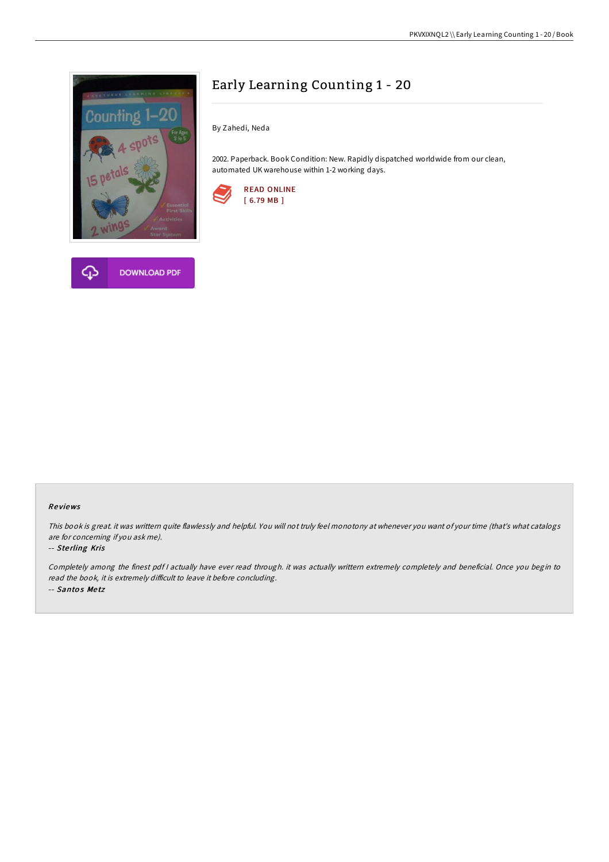

# Early Learning Counting 1 - 20

By Zahedi, Neda

2002. Paperback. Book Condition: New. Rapidly dispatched worldwide from our clean, automated UK warehouse within 1-2 working days.



#### Re views

This book is great. it was writtern quite flawlessly and helpful. You will not truly feel monotony at whenever you want of your time (that's what catalogs are for concerning if you ask me).

#### -- Ste rling Kris

Completely among the finest pdf <sup>I</sup> actually have ever read through. it was actually writtern extremely completely and beneficial. Once you begin to read the book, it is extremely difficult to leave it before concluding. -- Santos Metz